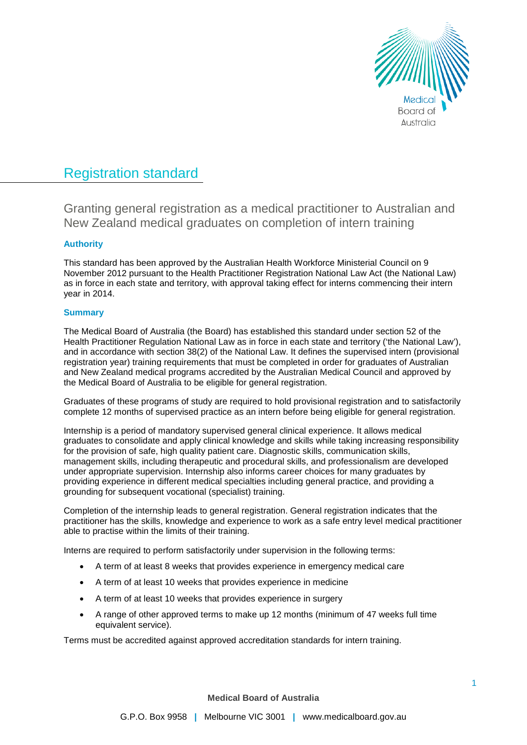

# Registration standard

Granting general registration as a medical practitioner to Australian and New Zealand medical graduates on completion of intern training

# **Authority**

This standard has been approved by the Australian Health Workforce Ministerial Council on 9 November 2012 pursuant to the Health Practitioner Registration National Law Act (the National Law) as in force in each state and territory, with approval taking effect for interns commencing their intern year in 2014.

# **Summary**

The Medical Board of Australia (the Board) has established this standard under section 52 of the Health Practitioner Regulation National Law as in force in each state and territory ('the National Law'), and in accordance with section 38(2) of the National Law. It defines the supervised intern (provisional registration year) training requirements that must be completed in order for graduates of Australian and New Zealand medical programs accredited by the Australian Medical Council and approved by the Medical Board of Australia to be eligible for general registration.

Graduates of these programs of study are required to hold provisional registration and to satisfactorily complete 12 months of supervised practice as an intern before being eligible for general registration.

Internship is a period of mandatory supervised general clinical experience. It allows medical graduates to consolidate and apply clinical knowledge and skills while taking increasing responsibility for the provision of safe, high quality patient care. Diagnostic skills, communication skills, management skills, including therapeutic and procedural skills, and professionalism are developed under appropriate supervision. Internship also informs career choices for many graduates by providing experience in different medical specialties including general practice, and providing a grounding for subsequent vocational (specialist) training.

Completion of the internship leads to general registration. General registration indicates that the practitioner has the skills, knowledge and experience to work as a safe entry level medical practitioner able to practise within the limits of their training.

Interns are required to perform satisfactorily under supervision in the following terms:

- A term of at least 8 weeks that provides experience in emergency medical care
- A term of at least 10 weeks that provides experience in medicine
- A term of at least 10 weeks that provides experience in surgery
- A range of other approved terms to make up 12 months (minimum of 47 weeks full time equivalent service).

Terms must be accredited against approved accreditation standards for intern training.

**Medical Board of Australia**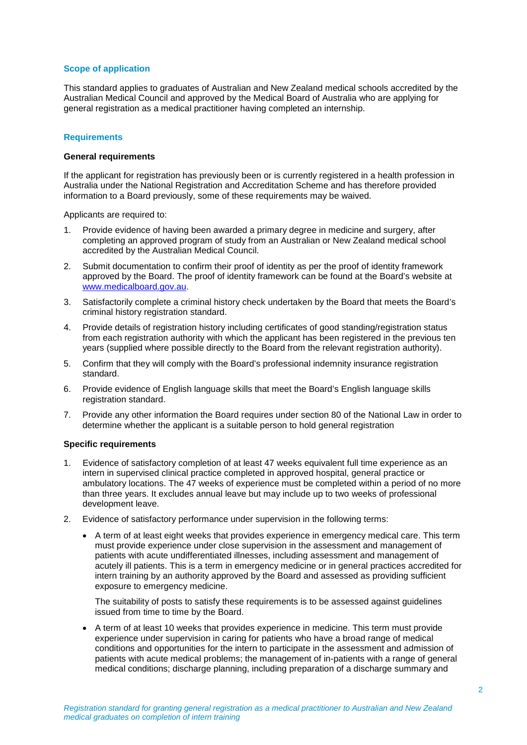# **Scope of application**

This standard applies to graduates of Australian and New Zealand medical schools accredited by the Australian Medical Council and approved by the Medical Board of Australia who are applying for general registration as a medical practitioner having completed an internship.

## **Requirements**

## **General requirements**

If the applicant for registration has previously been or is currently registered in a health profession in Australia under the National Registration and Accreditation Scheme and has therefore provided information to a Board previously, some of these requirements may be waived.

Applicants are required to:

- 1. Provide evidence of having been awarded a primary degree in medicine and surgery, after completing an approved program of study from an Australian or New Zealand medical school accredited by the Australian Medical Council.
- 2. Submit documentation to confirm their proof of identity as per the proof of identity framework approved by the Board. The proof of identity framework can be found at the Board's website at [www.medicalboard.gov.au.](http://www.medicalboard.gov.au/)
- 3. Satisfactorily complete a criminal history check undertaken by the Board that meets the Board's criminal history registration standard.
- 4. Provide details of registration history including certificates of good standing/registration status from each registration authority with which the applicant has been registered in the previous ten years (supplied where possible directly to the Board from the relevant registration authority).
- 5. Confirm that they will comply with the Board's professional indemnity insurance registration standard.
- 6. Provide evidence of English language skills that meet the Board's English language skills registration standard.
- 7. Provide any other information the Board requires under section 80 of the National Law in order to determine whether the applicant is a suitable person to hold general registration

## **Specific requirements**

- 1. Evidence of satisfactory completion of at least 47 weeks equivalent full time experience as an intern in supervised clinical practice completed in approved hospital, general practice or ambulatory locations. The 47 weeks of experience must be completed within a period of no more than three years. It excludes annual leave but may include up to two weeks of professional development leave.
- 2. Evidence of satisfactory performance under supervision in the following terms:
	- A term of at least eight weeks that provides experience in emergency medical care. This term must provide experience under close supervision in the assessment and management of patients with acute undifferentiated illnesses, including assessment and management of acutely ill patients. This is a term in emergency medicine or in general practices accredited for intern training by an authority approved by the Board and assessed as providing sufficient exposure to emergency medicine.

The suitability of posts to satisfy these requirements is to be assessed against guidelines issued from time to time by the Board.

• A term of at least 10 weeks that provides experience in medicine. This term must provide experience under supervision in caring for patients who have a broad range of medical conditions and opportunities for the intern to participate in the assessment and admission of patients with acute medical problems; the management of in-patients with a range of general medical conditions; discharge planning, including preparation of a discharge summary and